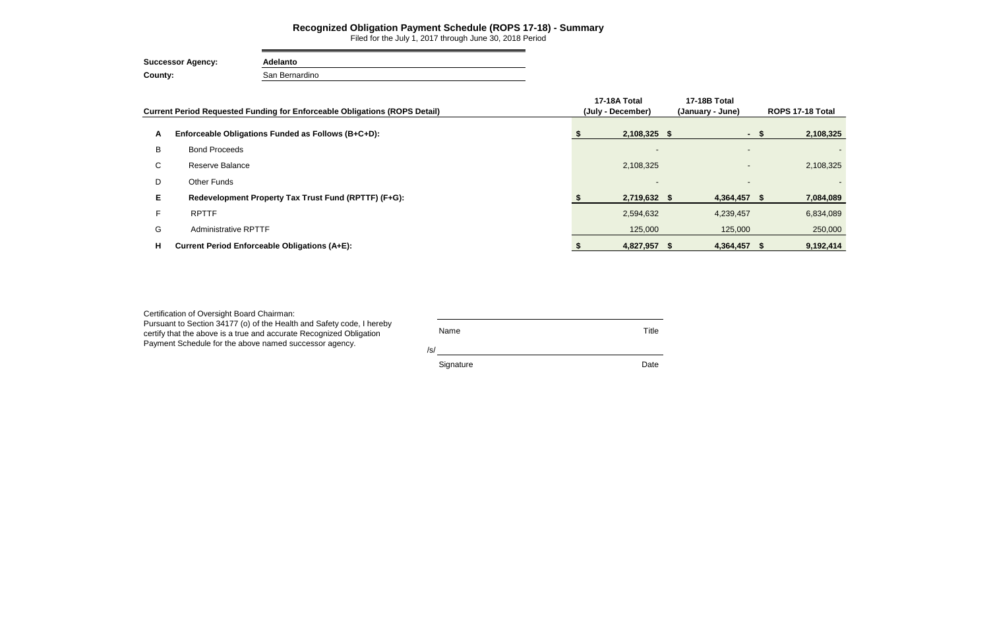|    | <b>Current Period Requested Funding for Enforceable Obligations (ROPS Detail)</b> | 17-18A Total<br>(July - December) | 17-18B Total<br>(January - June) |                          | ROPS 17-18 Total |  |  |
|----|-----------------------------------------------------------------------------------|-----------------------------------|----------------------------------|--------------------------|------------------|--|--|
| A  | Enforceable Obligations Funded as Follows (B+C+D):                                | 2,108,325 \$                      |                                  | - \$                     | 2,108,325        |  |  |
| B  | <b>Bond Proceeds</b>                                                              | $\overline{\phantom{a}}$          |                                  | $\overline{\phantom{0}}$ |                  |  |  |
| C. | Reserve Balance                                                                   | 2,108,325                         |                                  | ٠                        | 2,108,325        |  |  |
| D  | <b>Other Funds</b>                                                                | $\blacksquare$                    |                                  |                          |                  |  |  |
| E. | Redevelopment Property Tax Trust Fund (RPTTF) (F+G):                              | 2,719,632 \$                      | 4,364,457 \$                     |                          | 7,084,089        |  |  |
|    | <b>RPTTF</b>                                                                      | 2,594,632                         | 4,239,457                        |                          | 6,834,089        |  |  |
| G  | <b>Administrative RPTTF</b>                                                       | 125,000                           | 125,000                          |                          | 250,000          |  |  |
| н  | <b>Current Period Enforceable Obligations (A+E):</b>                              | 4,827,957 \$                      | 4,364,457 \$                     |                          | 9,192,414        |  |  |

### **Recognized Obligation Payment Schedule (ROPS 17-18) - Summary**

Filed for the July 1, 2017 through June 30, 2018 Period

**Successor Agency: Adelanto County:** San Bernardino

Certification of Oversight Board Chairman:

Pursuant to Section 34177 (o) of the Health and Safety code, I hereby certify that the above is a true and accurate Recognized Obligation Payment Schedule for the above named successor agency.

| Name      | Title |
|-----------|-------|
| /s/       |       |
| Signature | Date  |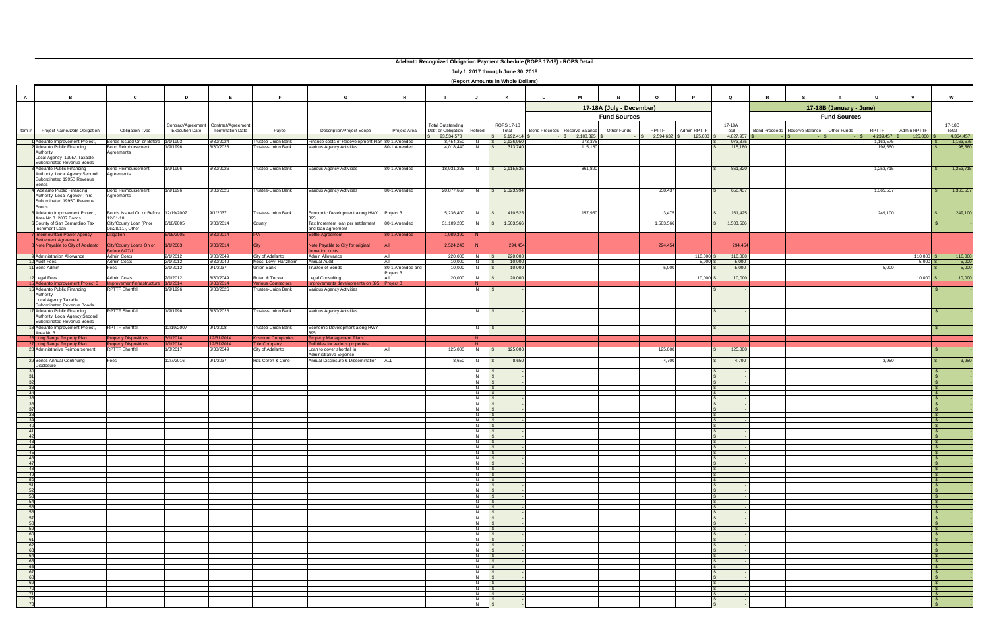|          |                                                                                                                                               |                                                              |                       |                                                                    |                                                  |                                                                                           |                     | Autianio Recognized Obligation Faynient Scriedule (NOFS TP-10) - NOFS Detail |                                                       | July 1, 2017 through June 30, 2018<br>(Report Amounts in Whole Dollars) |                                        |                                                           |              |                                 |                                 |                                           |                        |              |                                   |                       |
|----------|-----------------------------------------------------------------------------------------------------------------------------------------------|--------------------------------------------------------------|-----------------------|--------------------------------------------------------------------|--------------------------------------------------|-------------------------------------------------------------------------------------------|---------------------|------------------------------------------------------------------------------|-------------------------------------------------------|-------------------------------------------------------------------------|----------------------------------------|-----------------------------------------------------------|--------------|---------------------------------|---------------------------------|-------------------------------------------|------------------------|--------------|-----------------------------------|-----------------------|
|          |                                                                                                                                               |                                                              |                       |                                                                    |                                                  |                                                                                           |                     |                                                                              |                                                       |                                                                         |                                        |                                                           |              |                                 |                                 |                                           |                        |              |                                   |                       |
|          |                                                                                                                                               |                                                              |                       |                                                                    |                                                  |                                                                                           |                     |                                                                              |                                                       |                                                                         |                                        | 17-18A (July - December)                                  |              |                                 |                                 | 17-18B (January - June)                   |                        |              |                                   |                       |
| Item $#$ | <b>Project Name/Debt Obligation</b>                                                                                                           | <b>Obligation Type</b>                                       | <b>Execution Date</b> | Contract/Agreement   Contract/Agreement<br><b>Termination Date</b> | Payee                                            | <b>Description/Project Scope</b>                                                          | <b>Project Area</b> | <b>Total Outstanding</b><br>Debt or Obligation                               | Retired                                               | <b>ROPS 17-18</b><br>Total                                              | Bond Proceeds   Reserve Balance        | <b>Fund Sources</b><br><b>Other Funds</b><br><b>RPTTF</b> | Admin RPTTF  | 17-18A<br>Total                 | Bond Proceeds   Reserve Balance | <b>Fund Sources</b><br><b>Other Funds</b> | <b>RPTTF</b>           | Admin RPTTF  | 17-18B<br>Total                   |                       |
|          | <b>Adelanto Improvement Project,</b>                                                                                                          | Bonds Issued On or Before                                    | 1/1/1993              | 6/30/2024                                                          | rustee-Union Bank                                | Finance costs of Redevelopment Plan 80-1 Amended                                          |                     | 93,534,570<br>8,454,350                                                      | N                                                     | 9,192,414<br>2.136.950                                                  | $\frac{12}{3}$ 2,108,325 \$<br>973,375 | $\frac{1}{2}$ 2,594,632 \$                                | $125,000$ \$ | 4,827,957<br>973,375<br>115,180 |                                 |                                           | 4,239,457<br>1,163,575 | $125,000$ \$ | 4,364,457<br>1,163,575<br>198,560 |                       |
|          | Adelanto Public Financing<br>Authority,                                                                                                       | <b>Bond Reimbursement</b><br>Agreements                      | 1/9/1996              | 6/30/2026                                                          | <b>Trustee-Union Bank</b>                        | Various Agency Activities                                                                 | 80-1 Amended        | 4,018,440                                                                    | N.                                                    | 313,740                                                                 | 115,180                                |                                                           |              |                                 |                                 |                                           | 198,560                |              |                                   |                       |
|          | Local Agency 1995A Taxable<br>Subordinated Revenue Bonds<br><b>Adelanto Public Financing</b><br>Authority, Local Agency Second                | <b>Bond Reimbursement</b><br>Agreements                      | 1/9/1996              | 6/30/2026                                                          | Trustee-Union Bank                               | Various Agency Activities                                                                 | 80-1 Amended        | 18,931,225                                                                   | N                                                     | 2,115,535                                                               | 861,820                                |                                                           |              | 861,820                         |                                 |                                           | 1,253,715              |              | 1,253,715                         |                       |
|          | Subordinated 1995B Revenue<br><b>Bonds</b><br><b>Adelanto Public Financing</b><br>Authority, Local Agency Third<br>Subordinated 1995C Revenue | <b>Bond Reimbursement</b><br>Agreements                      | 1/9/1996              | 6/30/2026                                                          | <b>Trustee-Union Bank</b>                        | Various Agency Activities                                                                 | 80-1 Amended        | 20,877,667                                                                   | N.                                                    | 2,023,994                                                               |                                        | 658,437                                                   |              | 658,437                         |                                 |                                           | 1,365,55               |              | 1,365,557                         |                       |
|          | <b>Bonds</b><br>Adelanto Improvement Project,                                                                                                 | Bonds Issued On or Before 12/19/2007                         |                       | 9/1/2037                                                           | <b>Trustee-Union Bank</b>                        | Economic Development along HWY Project 3                                                  |                     | 5,236,400                                                                    | N                                                     | 410,525                                                                 | 157,950                                | 3,475                                                     |              | 161,425                         |                                 |                                           | 249,100                |              | 249,100                           |                       |
|          | Area No.3. 2007 Bonds<br>6 County of San Bernardino Tax                                                                                       | 12/31/10<br>City/County Loan (Prior                          | 6/18/2005             | 6/30/2014                                                          | County                                           | Tax Increment loan per settlement                                                         | 80-1 Amended        | 31,109,205                                                                   | N.                                                    | 1,503,566                                                               |                                        | 1,503,566                                                 |              | 1,503,566                       |                                 |                                           |                        |              |                                   |                       |
|          | Increment Loan<br>/ Intermountain Power Agency                                                                                                | 06/28/11), Other<br>Litigation                               | 6/15/2005             | 6/30/2014                                                          |                                                  | and loan agreement<br>Settle Agreement                                                    | 80-1 Amended        | 1,989,390                                                                    | $\blacksquare$ N                                      |                                                                         |                                        |                                                           |              |                                 |                                 |                                           |                        |              |                                   |                       |
|          | Settlement Agreement<br><b>8 Note Payable to City of Adelanto</b>                                                                             | City/County Loans On or                                      | 1/1/2003              | 6/30/2014                                                          |                                                  | Note Payable to City for original                                                         |                     | 2,524,243                                                                    | - N                                                   | 294,454                                                                 |                                        | 294,454                                                   |              | 294,454                         |                                 |                                           |                        |              |                                   |                       |
|          | 9 Administration Allowance                                                                                                                    | Before 6/27/11<br><b>Admin Costs</b>                         | 2/1/2012              | 6/30/2049                                                          | City of Adelanto                                 | formation costs<br>Admin Allowance                                                        | IΔII                |                                                                              | $220,000$ N \$                                        | 220,000                                                                 |                                        |                                                           | $110,000$ \$ | 110,000                         |                                 |                                           |                        | $110,000$ \$ | 110,000                           |                       |
|          | 0 Audit Fees<br>11 Bond Admin                                                                                                                 | <b>Admin Costs</b><br>Fees                                   | 2/1/2012<br>2/1/2012  | 6/30/2049<br>9/1/2037                                              | Moss, Levy, Hartzheim<br><b>Union Bank</b>       | <b>Annual Audit</b><br><b>Trustee of Bonds</b>                                            | 80-1 Amended and    | 10,000<br>10,000                                                             | N.<br>- N                                             | 10,000<br>10,000                                                        |                                        | 5,000                                                     | $5,000$ \$   | 5,000<br>5,000                  |                                 |                                           | 5,000                  | $5,000$ \$   |                                   | $\frac{5,000}{5,000}$ |
|          | 12 Legal Fees                                                                                                                                 | <b>Admin Costs</b>                                           | 2/1/2012              | 6/30/2049                                                          | Rutan & Tucker                                   | Legal Consulting                                                                          | Project 3<br>All -  | 20,000                                                                       | N.                                                    | 20,000                                                                  |                                        |                                                           | $10,000$ \$  | 10,000                          |                                 |                                           |                        | $10,000$ \$  |                                   | 10,000                |
|          | 15 Adelanto Improvement Project 3                                                                                                             | Improvement/Infrastructure                                   | 1/1/2014              | 6/30/2014                                                          | <b>Various Contractors</b>                       | Improvements developments on 395 Project 3                                                |                     |                                                                              | N                                                     |                                                                         |                                        |                                                           |              |                                 |                                 |                                           |                        |              |                                   |                       |
|          | 16 Adelanto Public Financing<br>Authority,<br>Local Agency Taxable<br>Subordinated Revenue Bonds                                              | <b>RPTTF Shortfall</b>                                       | 1/9/1996              | 6/30/2026                                                          | <b>Trustee-Union Bank</b>                        | Various Agency Activities                                                                 |                     |                                                                              | N                                                     |                                                                         |                                        |                                                           |              |                                 |                                 |                                           |                        |              |                                   |                       |
|          | 7 Adelanto Public Financing<br>Authority, Local Agency Second<br>Subordinated Revenue Bonds                                                   | <b>RPTTF Shortfall</b>                                       | 1/9/1996              | 6/30/2026                                                          | <b>Trustee-Union Bank</b>                        | Various Agency Activities                                                                 |                     |                                                                              | N.                                                    |                                                                         |                                        |                                                           |              |                                 |                                 |                                           |                        |              |                                   |                       |
|          | 18 Adelanto Improvement Project,<br>Area No.3                                                                                                 | <b>RPTTF Shortfall</b>                                       | 12/19/2007            | 9/1/2008                                                           | <b>Trustee-Union Bank</b>                        | Economic Development along HWY                                                            |                     |                                                                              | N.                                                    |                                                                         |                                        |                                                           |              |                                 |                                 |                                           |                        |              |                                   |                       |
|          | 25 Long Range Property Plan<br>27 Long Range Property Plan                                                                                    | <b>Property Dispositions</b><br><b>Property Dispositions</b> | 3/1/2014<br>1/1/2014  | 12/31/2014<br>12/31/2014                                           | <b>Kosmont Companies</b><br><b>Title Company</b> | <b>Property Management Plans</b><br>Pull titles for various properties                    |                     |                                                                              | $\mathsf{N}$<br>N                                     |                                                                         |                                        |                                                           |              |                                 |                                 |                                           |                        |              |                                   |                       |
|          | 28 Administrative Reimbursement<br>29 Bonds Annual Continuing                                                                                 | <b>RPTTF Shortfall</b><br>Fees                               | 1/3/2017<br>12/7/2016 | 6/30/2049<br>9/1/2037                                              | <b>City of Adelanto</b><br>HdL Coren & Cone      | Loan to cover shortfall in<br>Administrative Expense<br>Annual Disclosure & Dissemination | I ALI               | 125,000<br>8,650                                                             | N.<br>N.                                              | 125,000<br>8,650                                                        |                                        | 125,000<br>4,700                                          |              | 125,000<br>4,700                |                                 |                                           | 3,950                  |              |                                   | 3,950                 |
|          | Disclosure                                                                                                                                    |                                                              |                       |                                                                    |                                                  |                                                                                           |                     |                                                                              |                                                       |                                                                         |                                        |                                                           |              |                                 |                                 |                                           |                        |              |                                   |                       |
|          |                                                                                                                                               |                                                              |                       |                                                                    |                                                  |                                                                                           |                     |                                                                              | N<br>N                                                |                                                                         |                                        |                                                           |              |                                 |                                 |                                           |                        |              |                                   |                       |
|          |                                                                                                                                               |                                                              |                       |                                                                    |                                                  |                                                                                           |                     |                                                                              | N<br>N                                                |                                                                         |                                        |                                                           |              |                                 |                                 |                                           |                        |              |                                   |                       |
|          |                                                                                                                                               |                                                              |                       |                                                                    |                                                  |                                                                                           |                     |                                                                              | $N$  <br>$N$                                          |                                                                         |                                        |                                                           |              |                                 |                                 |                                           |                        |              |                                   |                       |
|          |                                                                                                                                               |                                                              |                       |                                                                    |                                                  |                                                                                           |                     |                                                                              | N<br>$N$                                              |                                                                         |                                        |                                                           |              |                                 |                                 |                                           |                        |              |                                   |                       |
|          |                                                                                                                                               |                                                              |                       |                                                                    |                                                  |                                                                                           |                     |                                                                              | $N$                                                   |                                                                         |                                        |                                                           |              |                                 |                                 |                                           |                        |              |                                   |                       |
|          |                                                                                                                                               |                                                              |                       |                                                                    |                                                  |                                                                                           |                     |                                                                              | $N$  <br>N                                            |                                                                         |                                        |                                                           |              |                                 |                                 |                                           |                        |              |                                   |                       |
|          |                                                                                                                                               |                                                              |                       |                                                                    |                                                  |                                                                                           |                     |                                                                              | N<br>N                                                |                                                                         |                                        |                                                           |              |                                 |                                 |                                           |                        |              |                                   |                       |
|          |                                                                                                                                               |                                                              |                       |                                                                    |                                                  |                                                                                           |                     |                                                                              | N<br>N                                                |                                                                         |                                        |                                                           |              |                                 |                                 |                                           |                        |              |                                   |                       |
|          |                                                                                                                                               |                                                              |                       |                                                                    |                                                  |                                                                                           |                     |                                                                              | $N$ $\vert$ \$                                        |                                                                         |                                        |                                                           |              |                                 |                                 |                                           |                        |              |                                   |                       |
|          |                                                                                                                                               |                                                              |                       |                                                                    |                                                  |                                                                                           |                     |                                                                              | N.<br>N                                               |                                                                         |                                        |                                                           |              |                                 |                                 |                                           |                        |              |                                   |                       |
|          |                                                                                                                                               |                                                              |                       |                                                                    |                                                  |                                                                                           |                     |                                                                              | N  <br>$N$                                            |                                                                         |                                        |                                                           |              |                                 |                                 |                                           |                        |              |                                   |                       |
|          |                                                                                                                                               |                                                              |                       |                                                                    |                                                  |                                                                                           |                     |                                                                              | $N \begin{array}{ccc} &   & 9 \end{array}$            |                                                                         |                                        |                                                           |              |                                 |                                 |                                           |                        |              |                                   |                       |
|          |                                                                                                                                               |                                                              |                       |                                                                    |                                                  |                                                                                           |                     |                                                                              | $N$  <br>$N$                                          |                                                                         |                                        |                                                           |              |                                 |                                 |                                           |                        |              |                                   |                       |
|          |                                                                                                                                               |                                                              |                       |                                                                    |                                                  |                                                                                           |                     |                                                                              | N I<br>N                                              |                                                                         |                                        |                                                           |              |                                 |                                 |                                           |                        |              |                                   |                       |
|          |                                                                                                                                               |                                                              |                       |                                                                    |                                                  |                                                                                           |                     |                                                                              | N  <br>  N                                            |                                                                         |                                        |                                                           |              |                                 |                                 |                                           |                        |              |                                   |                       |
|          |                                                                                                                                               |                                                              |                       |                                                                    |                                                  |                                                                                           |                     |                                                                              | N                                                     |                                                                         |                                        |                                                           |              |                                 |                                 |                                           |                        |              |                                   |                       |
|          |                                                                                                                                               |                                                              |                       |                                                                    |                                                  |                                                                                           |                     |                                                                              | $N$  <br>N                                            |                                                                         |                                        |                                                           |              |                                 |                                 |                                           |                        |              |                                   |                       |
|          |                                                                                                                                               |                                                              |                       |                                                                    |                                                  |                                                                                           |                     |                                                                              | $N \qquad$<br>$N$                                     |                                                                         |                                        |                                                           |              |                                 |                                 |                                           |                        |              |                                   |                       |
|          |                                                                                                                                               |                                                              |                       |                                                                    |                                                  |                                                                                           |                     |                                                                              | N<br>$N$                                              |                                                                         |                                        |                                                           |              |                                 |                                 |                                           |                        |              |                                   |                       |
|          |                                                                                                                                               |                                                              |                       |                                                                    |                                                  |                                                                                           |                     |                                                                              | $N \begin{array}{ccc} &   & 9 \end{array}$            |                                                                         |                                        |                                                           |              |                                 |                                 |                                           |                        |              |                                   |                       |
|          |                                                                                                                                               |                                                              |                       |                                                                    |                                                  |                                                                                           |                     |                                                                              | $N \begin{array}{ccc} &   & 9 \end{array}$<br>$N$   9 |                                                                         |                                        |                                                           |              |                                 |                                 |                                           |                        |              |                                   |                       |
|          |                                                                                                                                               |                                                              |                       |                                                                    |                                                  |                                                                                           |                     |                                                                              | N                                                     |                                                                         |                                        |                                                           |              |                                 |                                 |                                           |                        |              |                                   |                       |
|          |                                                                                                                                               |                                                              |                       |                                                                    |                                                  |                                                                                           |                     |                                                                              | N I<br>N                                              |                                                                         |                                        |                                                           |              |                                 |                                 |                                           |                        |              |                                   |                       |
|          |                                                                                                                                               |                                                              |                       |                                                                    |                                                  |                                                                                           |                     |                                                                              | $N$   :<br>N                                          |                                                                         |                                        |                                                           |              |                                 |                                 |                                           |                        |              |                                   |                       |
|          |                                                                                                                                               |                                                              |                       |                                                                    |                                                  |                                                                                           |                     |                                                                              | N                                                     |                                                                         |                                        |                                                           |              |                                 |                                 |                                           |                        |              |                                   |                       |
|          |                                                                                                                                               |                                                              |                       |                                                                    |                                                  |                                                                                           |                     |                                                                              |                                                       |                                                                         |                                        |                                                           |              |                                 |                                 |                                           |                        |              |                                   |                       |

# **Adelanto Recognized Obligation Payment Schedule (ROPS 17-18) - ROPS Detail**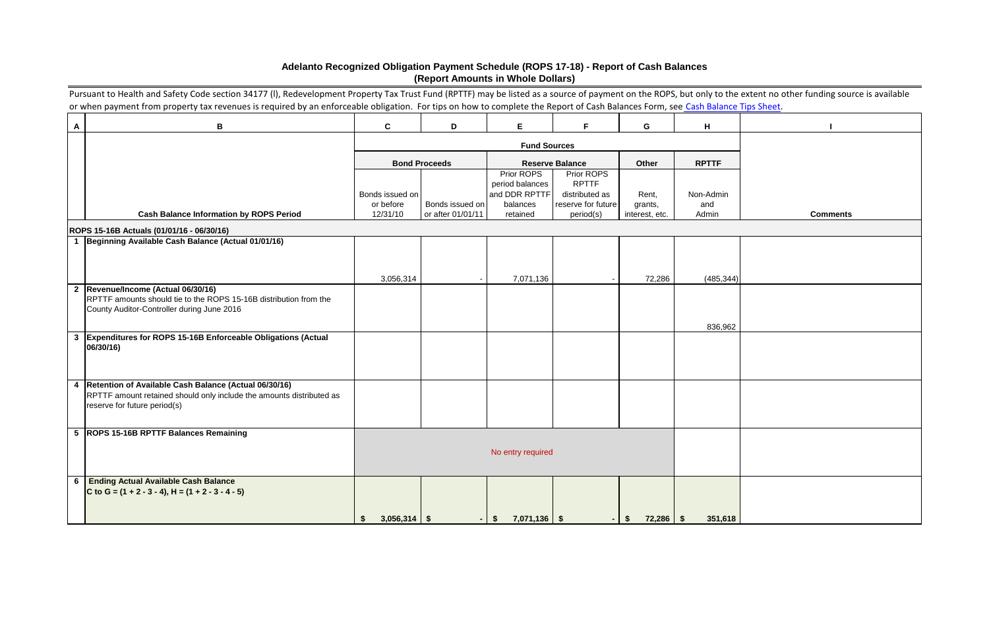|                         | Pursuant to Health and Safety Code section 34177 (I), Redevelopment Property Tax Trust Fund (RPTTF) may be listed as a source of payment on the ROPS, but only to the extent no other funding source is available<br>or when payment from property tax revenues is required by an enforceable obligation. For tips on how to complete the Report of Cash Balances Form, see Cash Balance Tips Sheet. |                                             |                                      |                               |                                 |                           |              |                 |
|-------------------------|------------------------------------------------------------------------------------------------------------------------------------------------------------------------------------------------------------------------------------------------------------------------------------------------------------------------------------------------------------------------------------------------------|---------------------------------------------|--------------------------------------|-------------------------------|---------------------------------|---------------------------|--------------|-----------------|
|                         |                                                                                                                                                                                                                                                                                                                                                                                                      |                                             |                                      |                               |                                 |                           |              |                 |
| $\mathsf{A}$            | В                                                                                                                                                                                                                                                                                                                                                                                                    | $\mathbf{C}$                                | D                                    | E                             | F.                              | G                         | H            |                 |
|                         |                                                                                                                                                                                                                                                                                                                                                                                                      | <b>Fund Sources</b>                         |                                      |                               |                                 |                           |              |                 |
|                         |                                                                                                                                                                                                                                                                                                                                                                                                      |                                             | <b>Bond Proceeds</b>                 |                               | <b>Reserve Balance</b>          | Other                     | <b>RPTTF</b> |                 |
|                         |                                                                                                                                                                                                                                                                                                                                                                                                      |                                             |                                      | Prior ROPS<br>period balances | Prior ROPS<br><b>RPTTF</b>      |                           |              |                 |
|                         |                                                                                                                                                                                                                                                                                                                                                                                                      | Bonds issued on                             |                                      | and DDR RPTTF                 | distributed as                  | Rent,                     | Non-Admin    |                 |
|                         | <b>Cash Balance Information by ROPS Period</b>                                                                                                                                                                                                                                                                                                                                                       | or before<br>12/31/10                       | Bonds issued on<br>or after 01/01/11 | balances<br>retained          | reserve for future<br>period(s) | grants,<br>interest, etc. | and<br>Admin | <b>Comments</b> |
|                         | ROPS 15-16B Actuals (01/01/16 - 06/30/16)                                                                                                                                                                                                                                                                                                                                                            |                                             |                                      |                               |                                 |                           |              |                 |
| $\overline{\mathbf{1}}$ | Beginning Available Cash Balance (Actual 01/01/16)                                                                                                                                                                                                                                                                                                                                                   |                                             |                                      |                               |                                 |                           |              |                 |
|                         |                                                                                                                                                                                                                                                                                                                                                                                                      |                                             |                                      |                               |                                 |                           |              |                 |
|                         |                                                                                                                                                                                                                                                                                                                                                                                                      | 3,056,314                                   |                                      | 7,071,136                     |                                 | 72,286                    | (485, 344)   |                 |
| $\mathbf{2}$            | Revenue/Income (Actual 06/30/16)                                                                                                                                                                                                                                                                                                                                                                     |                                             |                                      |                               |                                 |                           |              |                 |
|                         | RPTTF amounts should tie to the ROPS 15-16B distribution from the<br>County Auditor-Controller during June 2016                                                                                                                                                                                                                                                                                      |                                             |                                      |                               |                                 |                           |              |                 |
|                         |                                                                                                                                                                                                                                                                                                                                                                                                      |                                             |                                      |                               |                                 |                           | 836,962      |                 |
| $\mathbf{3}$            | Expenditures for ROPS 15-16B Enforceable Obligations (Actual                                                                                                                                                                                                                                                                                                                                         |                                             |                                      |                               |                                 |                           |              |                 |
|                         | 06/30/16)                                                                                                                                                                                                                                                                                                                                                                                            |                                             |                                      |                               |                                 |                           |              |                 |
|                         |                                                                                                                                                                                                                                                                                                                                                                                                      |                                             |                                      |                               |                                 |                           |              |                 |
| $\overline{4}$          | Retention of Available Cash Balance (Actual 06/30/16)                                                                                                                                                                                                                                                                                                                                                |                                             |                                      |                               |                                 |                           |              |                 |
|                         | RPTTF amount retained should only include the amounts distributed as<br>reserve for future period(s)                                                                                                                                                                                                                                                                                                 |                                             |                                      |                               |                                 |                           |              |                 |
|                         |                                                                                                                                                                                                                                                                                                                                                                                                      |                                             |                                      |                               |                                 |                           |              |                 |
|                         | 5  ROPS 15-16B RPTTF Balances Remaining                                                                                                                                                                                                                                                                                                                                                              |                                             |                                      |                               |                                 |                           |              |                 |
|                         |                                                                                                                                                                                                                                                                                                                                                                                                      |                                             |                                      | No entry required             |                                 |                           |              |                 |
|                         |                                                                                                                                                                                                                                                                                                                                                                                                      |                                             |                                      |                               |                                 |                           |              |                 |
|                         | 6 Ending Actual Available Cash Balance                                                                                                                                                                                                                                                                                                                                                               |                                             |                                      |                               |                                 |                           |              |                 |
|                         | C to G = $(1 + 2 - 3 - 4)$ , H = $(1 + 2 - 3 - 4 - 5)$                                                                                                                                                                                                                                                                                                                                               |                                             |                                      |                               |                                 |                           |              |                 |
|                         |                                                                                                                                                                                                                                                                                                                                                                                                      | $3,056,314$ \$<br>$\boldsymbol{\mathsf{s}}$ |                                      | $7,071,136$ \$<br>$-1$ \$     |                                 | $72,286$ \$<br>$\sqrt{5}$ | 351,618      |                 |

## **Adelanto Recognized Obligation Payment Schedule (ROPS 17-18) - Report of Cash Balances (Report Amounts in Whole Dollars)**